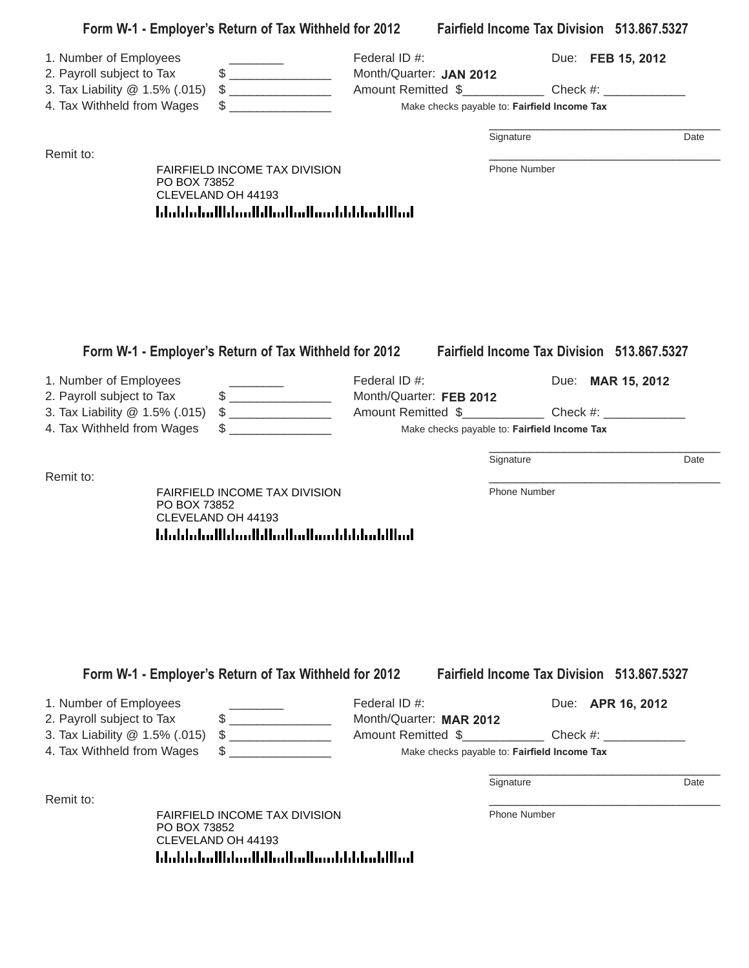| 1. Number of Employees<br>2. Payroll subject to Tax<br>3. Tax Liability @ 1.5% (.015)<br>4. Tax Withheld from Wages |              | $\begin{picture}(20,10) \put(0,0){\line(1,0){10}} \put(15,0){\line(1,0){10}} \put(15,0){\line(1,0){10}} \put(15,0){\line(1,0){10}} \put(15,0){\line(1,0){10}} \put(15,0){\line(1,0){10}} \put(15,0){\line(1,0){10}} \put(15,0){\line(1,0){10}} \put(15,0){\line(1,0){10}} \put(15,0){\line(1,0){10}} \put(15,0){\line(1,0){10}} \put(15,0){\line(1$<br><u> 1989 - Andrea Albert III, poet e pre</u> sentante de la propiesa de la propiesa de la propiesa de la propiesa de | Federal ID #:<br>Month/Quarter: JAN 2012<br>Amount Remitted \$ Check #:<br>Make checks payable to: Fairfield Income Tax                                      |                                  | Due: FEB 15, 2012                                                      |      |
|---------------------------------------------------------------------------------------------------------------------|--------------|-----------------------------------------------------------------------------------------------------------------------------------------------------------------------------------------------------------------------------------------------------------------------------------------------------------------------------------------------------------------------------------------------------------------------------------------------------------------------------|--------------------------------------------------------------------------------------------------------------------------------------------------------------|----------------------------------|------------------------------------------------------------------------|------|
| Remit to:                                                                                                           | PO BOX 73852 | <b>FAIRFIELD INCOME TAX DIVISION</b>                                                                                                                                                                                                                                                                                                                                                                                                                                        |                                                                                                                                                              | Signature<br>Phone Number        |                                                                        | Date |
|                                                                                                                     |              | CLEVELAND OH 44193                                                                                                                                                                                                                                                                                                                                                                                                                                                          |                                                                                                                                                              |                                  |                                                                        |      |
| 1. Number of Employees                                                                                              |              | Form W-1 - Employer's Return of Tax Withheld for 2012                                                                                                                                                                                                                                                                                                                                                                                                                       | Federal ID #:                                                                                                                                                |                                  | <b>Fairfield Income Tax Division 513.867.5327</b><br>Due: MAR 15, 2012 |      |
| 2. Payroll subject to Tax<br>3. Tax Liability @ 1.5% (.015)<br>4. Tax Withheld from Wages                           |              | $\text{\$}$<br>$\frac{1}{2}$ $\frac{1}{2}$ $\frac{1}{2}$ $\frac{1}{2}$ $\frac{1}{2}$ $\frac{1}{2}$ $\frac{1}{2}$ $\frac{1}{2}$ $\frac{1}{2}$ $\frac{1}{2}$ $\frac{1}{2}$ $\frac{1}{2}$ $\frac{1}{2}$ $\frac{1}{2}$ $\frac{1}{2}$ $\frac{1}{2}$ $\frac{1}{2}$ $\frac{1}{2}$ $\frac{1}{2}$ $\frac{1}{2}$ $\frac{1}{2}$ $\frac{1}{2}$<br><u> 1980 - Jan Barbara Barbara, prima prima prima prima prima prima prima prima prima prima prima prima prima pri</u>                 | Month/Quarter: FEB 2012<br>Amount Remitted \$_______________________ Check #: ______________________________<br>Make checks payable to: Fairfield Income Tax |                                  |                                                                        |      |
| Remit to:                                                                                                           | PO BOX 73852 | FAIRFIELD INCOME TAX DIVISION<br>CLEVELAND OH 44193                                                                                                                                                                                                                                                                                                                                                                                                                         |                                                                                                                                                              | Signature<br><b>Phone Number</b> |                                                                        | Date |
|                                                                                                                     |              | Form W-1 - Employer's Return of Tax Withheld for 2012                                                                                                                                                                                                                                                                                                                                                                                                                       |                                                                                                                                                              |                                  | <b>Fairfield Income Tax Division 513,867,5327</b>                      |      |
| 1. Number of Employees<br>2. Payroll subject to Tax<br>3. Tax Liability @ 1.5% (.015)<br>4. Tax Withheld from Wages |              | $$$ ____________________                                                                                                                                                                                                                                                                                                                                                                                                                                                    | Federal ID #:<br>Month/Quarter: MAR 2012<br>Make checks payable to: Fairfield Income Tax                                                                     |                                  | Due: APR 16, 2012                                                      |      |
|                                                                                                                     |              |                                                                                                                                                                                                                                                                                                                                                                                                                                                                             |                                                                                                                                                              | Signature                        |                                                                        | Date |
| Remit to:                                                                                                           | PO BOX 73852 | <b>FAIRFIELD INCOME TAX DIVISION</b><br>CLEVELAND OH 44193                                                                                                                                                                                                                                                                                                                                                                                                                  |                                                                                                                                                              | <b>Phone Number</b>              |                                                                        |      |

المباليات بابانات بمبالة بالماليان بمايا المتاماتيات

|  | rm W-1 - Employer's Return of Tax Withheld for 201. |  |  |  |
|--|-----------------------------------------------------|--|--|--|
|  |                                                     |  |  |  |

**Form W-1 - Employers Return of Tax Withheld for 2012 Fairfield Income Tax Division 513.867.5327**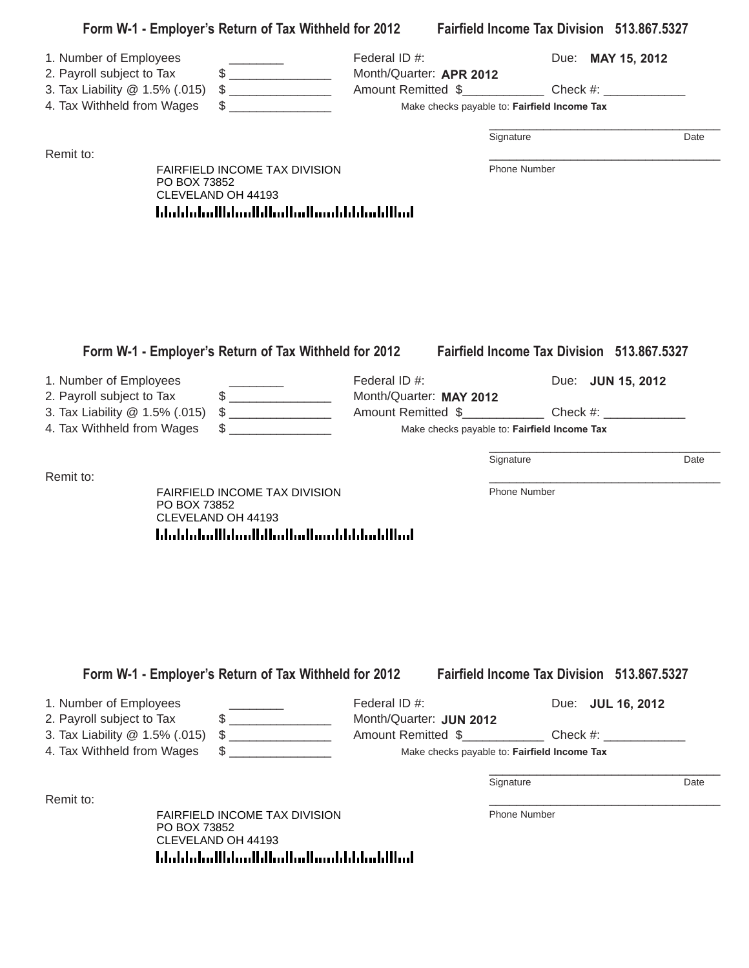|                                | Form W-1 - Employer's Return of Tax Withheld for 2012                                                                                                                                                                                                                                                                                                                                                                                                                                                               |                             |                                              | Fairfield Income Tax Division 513.867.5327                             |      |
|--------------------------------|---------------------------------------------------------------------------------------------------------------------------------------------------------------------------------------------------------------------------------------------------------------------------------------------------------------------------------------------------------------------------------------------------------------------------------------------------------------------------------------------------------------------|-----------------------------|----------------------------------------------|------------------------------------------------------------------------|------|
| 1. Number of Employees         |                                                                                                                                                                                                                                                                                                                                                                                                                                                                                                                     | Federal ID #:               |                                              | Due: MAY 15, 2012                                                      |      |
| 2. Payroll subject to Tax      | $\begin{picture}(20,10) \put(0,0){\line(1,0){10}} \put(15,0){\line(1,0){10}} \put(15,0){\line(1,0){10}} \put(15,0){\line(1,0){10}} \put(15,0){\line(1,0){10}} \put(15,0){\line(1,0){10}} \put(15,0){\line(1,0){10}} \put(15,0){\line(1,0){10}} \put(15,0){\line(1,0){10}} \put(15,0){\line(1,0){10}} \put(15,0){\line(1,0){10}} \put(15,0){\line(1$                                                                                                                                                                 | Month/Quarter: APR 2012     |                                              |                                                                        |      |
| 3. Tax Liability @ 1.5% (.015) | $\frac{1}{2}$ $\frac{1}{2}$ $\frac{1}{2}$ $\frac{1}{2}$ $\frac{1}{2}$ $\frac{1}{2}$ $\frac{1}{2}$ $\frac{1}{2}$ $\frac{1}{2}$ $\frac{1}{2}$ $\frac{1}{2}$ $\frac{1}{2}$ $\frac{1}{2}$ $\frac{1}{2}$ $\frac{1}{2}$ $\frac{1}{2}$ $\frac{1}{2}$ $\frac{1}{2}$ $\frac{1}{2}$ $\frac{1}{2}$ $\frac{1}{2}$ $\frac{1}{2}$                                                                                                                                                                                                 | Amount Remitted \$ Check #: |                                              |                                                                        |      |
| 4. Tax Withheld from Wages     | $\begin{array}{c} \texttt{\$} \\ \texttt{\$} \end{array} \qquad \qquad \begin{array}{c} \texttt{\$} \\ \texttt{\$} \end{array} \qquad \qquad \begin{array}{c} \texttt{\$} \\ \texttt{\$} \end{array} \qquad \qquad \begin{array}{c} \texttt{\$} \\ \texttt{\$} \end{array} \qquad \qquad \begin{array}{c} \texttt{\$} \\ \texttt{\$} \end{array} \qquad \qquad \begin{array}{c} \texttt{\$} \\ \texttt{\$} \end{array} \qquad \qquad \begin{array}{c} \texttt{\$} \\ \texttt{\$} \end{array} \qquad \qquad \begin{$ |                             | Make checks payable to: Fairfield Income Tax |                                                                        |      |
|                                |                                                                                                                                                                                                                                                                                                                                                                                                                                                                                                                     |                             | Signature                                    |                                                                        | Date |
| Remit to:                      |                                                                                                                                                                                                                                                                                                                                                                                                                                                                                                                     |                             |                                              |                                                                        |      |
| PO BOX 73852                   | <b>FAIRFIELD INCOME TAX DIVISION</b>                                                                                                                                                                                                                                                                                                                                                                                                                                                                                |                             | Phone Number                                 |                                                                        |      |
|                                | CLEVELAND OH 44193                                                                                                                                                                                                                                                                                                                                                                                                                                                                                                  |                             |                                              |                                                                        |      |
|                                | المطالبا بمليانا بالمسالسا المبايا المساوا المبارزا المارزا                                                                                                                                                                                                                                                                                                                                                                                                                                                         |                             |                                              |                                                                        |      |
|                                |                                                                                                                                                                                                                                                                                                                                                                                                                                                                                                                     |                             |                                              |                                                                        |      |
|                                | Form W-1 - Employer's Return of Tax Withheld for 2012                                                                                                                                                                                                                                                                                                                                                                                                                                                               |                             |                                              | <b>Fairfield Income Tax Division 513.867.5327</b>                      |      |
| 1. Number of Employees         |                                                                                                                                                                                                                                                                                                                                                                                                                                                                                                                     | Federal ID #:               |                                              | Due: <b>JUN 15, 2012</b>                                               |      |
| 2. Payroll subject to Tax      | $\begin{picture}(20,10) \put(0,0){\line(1,0){10}} \put(15,0){\line(1,0){10}} \put(15,0){\line(1,0){10}} \put(15,0){\line(1,0){10}} \put(15,0){\line(1,0){10}} \put(15,0){\line(1,0){10}} \put(15,0){\line(1,0){10}} \put(15,0){\line(1,0){10}} \put(15,0){\line(1,0){10}} \put(15,0){\line(1,0){10}} \put(15,0){\line(1,0){10}} \put(15,0){\line(1$                                                                                                                                                                 | Month/Quarter: MAY 2012     |                                              |                                                                        |      |
| 3. Tax Liability @ 1.5% (.015) | $\frac{1}{2}$ $\frac{1}{2}$ $\frac{1}{2}$ $\frac{1}{2}$ $\frac{1}{2}$ $\frac{1}{2}$ $\frac{1}{2}$ $\frac{1}{2}$ $\frac{1}{2}$ $\frac{1}{2}$ $\frac{1}{2}$ $\frac{1}{2}$ $\frac{1}{2}$ $\frac{1}{2}$ $\frac{1}{2}$ $\frac{1}{2}$ $\frac{1}{2}$ $\frac{1}{2}$ $\frac{1}{2}$ $\frac{1}{2}$ $\frac{1}{2}$ $\frac{1}{2}$                                                                                                                                                                                                 |                             |                                              |                                                                        |      |
| 4. Tax Withheld from Wages     | $\sim$                                                                                                                                                                                                                                                                                                                                                                                                                                                                                                              |                             | Make checks payable to: Fairfield Income Tax |                                                                        |      |
| Remit to:                      |                                                                                                                                                                                                                                                                                                                                                                                                                                                                                                                     |                             | Signature                                    |                                                                        | Date |
| PO BOX 73852                   | FAIRFIELD INCOME TAX DIVISION<br>CLEVELAND OH 44193<br><u>Idaldaladildaallilladladlaaddildadillad</u>                                                                                                                                                                                                                                                                                                                                                                                                               |                             | <b>Phone Number</b>                          |                                                                        |      |
| 1. Number of Employees         | Form W-1 - Employer's Return of Tax Withheld for 2012                                                                                                                                                                                                                                                                                                                                                                                                                                                               | Federal ID #:               |                                              | <b>Fairfield Income Tax Division 513,867,5327</b><br>Due: JUL 16, 2012 |      |
| 2. Payroll subject to Tax      | $\begin{picture}(20,10) \put(0,0){\vector(1,0){100}} \put(15,0){\vector(1,0){100}} \put(15,0){\vector(1,0){100}} \put(15,0){\vector(1,0){100}} \put(15,0){\vector(1,0){100}} \put(15,0){\vector(1,0){100}} \put(15,0){\vector(1,0){100}} \put(15,0){\vector(1,0){100}} \put(15,0){\vector(1,0){100}} \put(15,0){\vector(1,0){100}} \put(15,0){\vector(1,0){100}} \$                                                                                                                                                 | Month/Quarter: JUN 2012     |                                              |                                                                        |      |
| 3. Tax Liability @ 1.5% (.015) | $\begin{picture}(20,10) \put(0,0){\vector(1,0){100}} \put(15,0){\vector(1,0){100}} \put(15,0){\vector(1,0){100}} \put(15,0){\vector(1,0){100}} \put(15,0){\vector(1,0){100}} \put(15,0){\vector(1,0){100}} \put(15,0){\vector(1,0){100}} \put(15,0){\vector(1,0){100}} \put(15,0){\vector(1,0){100}} \put(15,0){\vector(1,0){100}} \put(15,0){\vector(1,0){100}} \$                                                                                                                                                 |                             |                                              |                                                                        |      |
| 4. Tax Withheld from Wages     | $\frac{1}{\sqrt{1-\frac{1}{2}}}\frac{1}{\sqrt{1-\frac{1}{2}}}\frac{1}{\sqrt{1-\frac{1}{2}}}\frac{1}{\sqrt{1-\frac{1}{2}}}\frac{1}{\sqrt{1-\frac{1}{2}}}\frac{1}{\sqrt{1-\frac{1}{2}}}\frac{1}{\sqrt{1-\frac{1}{2}}}\frac{1}{\sqrt{1-\frac{1}{2}}}\frac{1}{\sqrt{1-\frac{1}{2}}}\frac{1}{\sqrt{1-\frac{1}{2}}}\frac{1}{\sqrt{1-\frac{1}{2}}}\frac{1}{\sqrt{1-\frac{1}{2}}}\frac{1}{\sqrt{1-\frac{1}{2}}}\frac{1}{\sqrt{1-\frac{$                                                                                     |                             | Make checks payable to: Fairfield Income Tax |                                                                        |      |
|                                |                                                                                                                                                                                                                                                                                                                                                                                                                                                                                                                     |                             | Signature                                    |                                                                        | Date |
| Remit to:<br>PO BOX 73852      | FAIRFIELD INCOME TAX DIVISION<br>CLEVELAND OH 44193                                                                                                                                                                                                                                                                                                                                                                                                                                                                 |                             | <b>Phone Number</b>                          |                                                                        |      |
|                                | المطالبا بمليا بالمستلمينا بمباليا المساما بالملمانا                                                                                                                                                                                                                                                                                                                                                                                                                                                                |                             |                                              |                                                                        |      |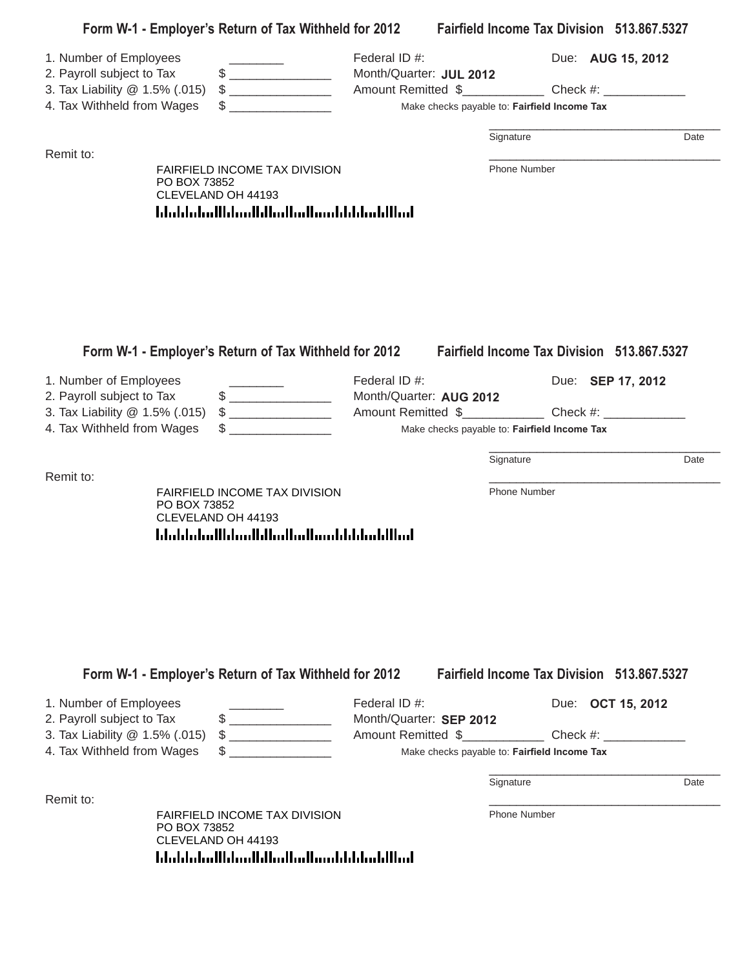| 1. Number of Employees<br>2. Payroll subject to Tax<br>3. Tax Liability @ 1.5% (.015) | $\qquad \qquad \$$                                                                                                | Federal ID #:<br>Month/Quarter: JUL 2012     |                           | Due: AUG 15, 2012                                 |      |
|---------------------------------------------------------------------------------------|-------------------------------------------------------------------------------------------------------------------|----------------------------------------------|---------------------------|---------------------------------------------------|------|
| 4. Tax Withheld from Wages                                                            | $\frac{1}{2}$                                                                                                     | Make checks payable to: Fairfield Income Tax |                           |                                                   |      |
| Remit to:<br>PO BOX 73852                                                             | <b>FAIRFIELD INCOME TAX DIVISION</b>                                                                              |                                              | Signature<br>Phone Number |                                                   | Date |
|                                                                                       | CLEVELAND OH 44193<br>المطالبا بمليانا بالمسالميا المطابا المساما الممامات                                        |                                              |                           |                                                   |      |
|                                                                                       |                                                                                                                   |                                              |                           | <b>Fairfield Income Tax Division 513.867.5327</b> |      |
| 1. Number of Employees                                                                | Form W-1 - Employer's Return of Tax Withheld for 2012                                                             | Federal ID #:                                |                           |                                                   |      |
| 2. Payroll subject to Tax                                                             | $$\overbrace{\hspace{2.5cm}}$                                                                                     | Month/Quarter: AUG 2012                      |                           | Due: SEP 17, 2012                                 |      |
| 3. Tax Liability @ 1.5% (.015)<br>4. Tax Withheld from Wages                          | <u> 1986 - Jan Barbarat, prima politik (</u>                                                                      | Make checks payable to: Fairfield Income Tax |                           |                                                   |      |
|                                                                                       |                                                                                                                   |                                              | Signature                 |                                                   | Date |
| Remit to:<br>PO BOX 73852                                                             | <b>FAIRFIELD INCOME TAX DIVISION</b><br>CLEVELAND OH 44193<br>المباليا بمليا بالمستالس المبايا استلمانا المتامانا |                                              | Phone Number              |                                                   |      |
|                                                                                       | Form W-1 - Employer's Return of Tax Withheld for 2012                                                             |                                              |                           | <b>Fairfield Income Tax Division 513,867,5327</b> |      |
| 1. Number of Employees                                                                |                                                                                                                   | Federal ID #:                                |                           | Due: <b>OCT 15, 2012</b>                          |      |
| 2. Payroll subject to Tax<br>3. Tax Liability @ 1.5% (.015)                           | $\qquad \qquad \$$                                                                                                | Month/Quarter: SEP 2012                      |                           |                                                   |      |
| 4. Tax Withheld from Wages                                                            |                                                                                                                   | Make checks payable to: Fairfield Income Tax |                           |                                                   |      |
|                                                                                       |                                                                                                                   |                                              | Signature                 |                                                   | Date |
| Remit to:<br>PO BOX 73852                                                             | <b>FAIRFIELD INCOME TAX DIVISION</b><br>CLEVELAND OH 44193                                                        |                                              | <b>Phone Number</b>       |                                                   |      |

CLEVELAND OH 44193-0002

| Form W-1 - Employer's Return of Tax Withheld for 2012 | <b>Fairfield Income Tax Division 513.867.5327</b> |  |
|-------------------------------------------------------|---------------------------------------------------|--|
|-------------------------------------------------------|---------------------------------------------------|--|